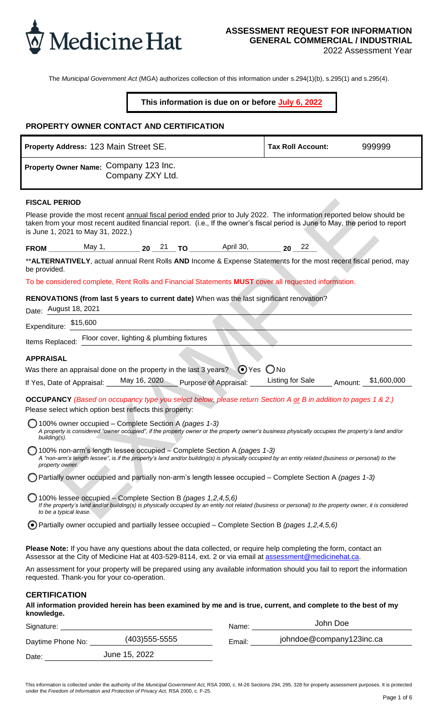

# **ASSESSMENT REQUEST FOR INFORMATION GENERAL COMMERCIAL / INDUSTRIAL**

2022 Assessment Year

The *Municipal Government Act* (MGA) authorizes collection of this information under s.294(1)(b), s.295(1) and s.295(4).

### **This information is due on or before July 6, 2022**

### **PROPERTY OWNER CONTACT AND CERTIFICATION**

| JELNI I UWWLN GUNTAGT AND GLNTIFIGATION                                                                                                                                                                                                                                                                                                                           |                                         |          |        |
|-------------------------------------------------------------------------------------------------------------------------------------------------------------------------------------------------------------------------------------------------------------------------------------------------------------------------------------------------------------------|-----------------------------------------|----------|--------|
| Property Address: 123 Main Street SE.                                                                                                                                                                                                                                                                                                                             | <b>Tax Roll Account:</b>                |          | 999999 |
| Property Owner Name: Company 123 Inc.<br>Company ZXY Ltd.                                                                                                                                                                                                                                                                                                         |                                         |          |        |
| <b>FISCAL PERIOD</b><br>Please provide the most recent annual fiscal period ended prior to July 2022. The information reported below should be<br>taken from your most recent audited financial report. (i.e., If the owner's fiscal period is June to May, the period to report<br>is June 1, 2021 to May 31, 2022.)                                             |                                         |          |        |
|                                                                                                                                                                                                                                                                                                                                                                   |                                         |          |        |
| **ALTERNATIVELY, actual annual Rent Rolls AND Income & Expense Statements for the most recent fiscal period, may<br>be provided.                                                                                                                                                                                                                                  |                                         |          |        |
| To be considered complete, Rent Rolls and Financial Statements MUST cover all requested information.                                                                                                                                                                                                                                                              |                                         |          |        |
| RENOVATIONS (from last 5 years to current date) When was the last significant renovation?<br>Date: August 18, 2021                                                                                                                                                                                                                                                |                                         |          |        |
| Expenditure: $$15,600$                                                                                                                                                                                                                                                                                                                                            |                                         |          |        |
| Items Replaced: Floor cover, lighting & plumbing fixtures                                                                                                                                                                                                                                                                                                         |                                         |          |        |
| <b>APPRAISAL</b>                                                                                                                                                                                                                                                                                                                                                  |                                         |          |        |
| Was there an appraisal done on the property in the last 3 years? $\bigcirc$ Yes $\bigcirc$ No                                                                                                                                                                                                                                                                     |                                         |          |        |
| If Yes, Date of Appraisal: May 16, 2020 Purpose of Appraisal: Listing for Sale Amount: \$1,600,000                                                                                                                                                                                                                                                                |                                         |          |        |
| OCCUPANCY (Based on occupancy type you select below, please return Section A or B in addition to pages 1 & 2.)<br>Please select which option best reflects this property:                                                                                                                                                                                         |                                         |          |        |
| 100% owner occupied – Complete Section A (pages 1-3)<br>A property is considered "owner occupied", if the property owner or the property owner's business physically occupies the property's land and/or<br>building(s).                                                                                                                                          |                                         |          |        |
| and a state of the state of the state of the state of the state of the state of the state of the state of the<br>100% non-arm's length lessee occupied - Complete Section A (pages 1-3)<br>A "non-arm's length lessee", is if the property's land and/or building(s) is physically occupied by an entity related (business or personal) to the<br>property owner. |                                         |          |        |
| Partially owner occupied and partially non-arm's length lessee occupied – Complete Section A (pages 1-3)                                                                                                                                                                                                                                                          |                                         |          |        |
| 100% lessee occupied – Complete Section B (pages 1,2,4,5,6)<br>If the property's land and/or building(s) is physically occupied by an entity not related (business or personal) to the property owner, it is considered<br>to be a typical lease.                                                                                                                 |                                         |          |        |
| $\odot$ Partially owner occupied and partially lessee occupied – Complete Section B (pages 1,2,4,5,6)                                                                                                                                                                                                                                                             |                                         |          |        |
| <b>Please Note:</b> If you have any questions about the data collected, or require help completing the form, contact an<br>Assessor at the City of Medicine Hat at 403-529-8114, ext. 2 or via email at assessment@medicinehat.ca.                                                                                                                                |                                         |          |        |
| An assessment for your property will be prepared using any available information should you fail to report the information<br>requested. Thank-you for your co-operation.                                                                                                                                                                                         |                                         |          |        |
| <b>CERTIFICATION</b>                                                                                                                                                                                                                                                                                                                                              |                                         |          |        |
| All information provided herein has been examined by me and is true, current, and complete to the best of my<br>knowledge.                                                                                                                                                                                                                                        |                                         |          |        |
|                                                                                                                                                                                                                                                                                                                                                                   |                                         | John Doe |        |
| Daytime Phone No: (403)555-5555                                                                                                                                                                                                                                                                                                                                   | Email: _______ johndoe@company123inc.ca |          |        |
| June 15, 2022<br>Date:                                                                                                                                                                                                                                                                                                                                            |                                         |          |        |

This information is collected under the authority of the *Municipal Government Act,* RSA 2000, c. M-26 Sections 294, 295, 328 for property assessment purposes. It is protected under the *Freedom of Information and Protection of Privacy Act,* RSA 2000, c. F-25.

Date:

June 15, 2022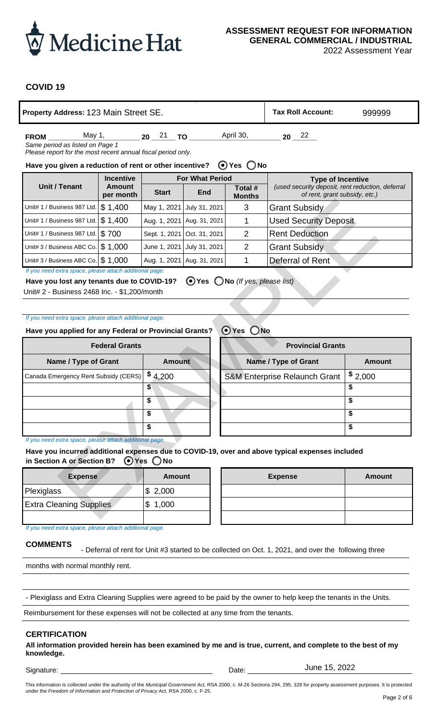

2022 Assessment Year

### **COVID 19**

| Property Address: 123 Main Street SE.                                                      |                       | <b>Tax Roll Account:</b>  | 999999                       |                                                 |                                                                                                                               |               |  |  |  |  |  |
|--------------------------------------------------------------------------------------------|-----------------------|---------------------------|------------------------------|-------------------------------------------------|-------------------------------------------------------------------------------------------------------------------------------|---------------|--|--|--|--|--|
| May 1,<br><b>FROM</b><br>Same period as listed on Page 1                                   |                       | 20 <sup>21</sup> TO       |                              | April 30,                                       | $20^{22}$                                                                                                                     |               |  |  |  |  |  |
| Please report for the most recent annual fiscal period only.                               |                       |                           |                              |                                                 |                                                                                                                               |               |  |  |  |  |  |
| $\bigcirc$ Yes $\bigcirc$ No<br>Have you given a reduction of rent or other incentive?     |                       |                           |                              |                                                 |                                                                                                                               |               |  |  |  |  |  |
|                                                                                            | <b>Incentive</b>      |                           | <b>For What Period</b>       |                                                 | <b>Type of Incentive</b>                                                                                                      |               |  |  |  |  |  |
| <b>Unit / Tenant</b>                                                                       | Amount<br>per month   | <b>Start</b>              | <b>End</b>                   | Total #<br><b>Months</b>                        | (used security deposit, rent reduction, deferral<br>of rent, grant subsidy, etc.)                                             |               |  |  |  |  |  |
| Unit# 1 / Business 987 Ltd.                                                                | \$1,400               | May 1, 2021               | July 31, 2021                | 3                                               | <b>Grant Subsidy</b>                                                                                                          |               |  |  |  |  |  |
| Unit# 1 / Business 987 Ltd.                                                                | \$1,400               |                           | Aug. 1, 2021   Aug. 31, 2021 | 1                                               | <b>Used Security Deposit</b>                                                                                                  |               |  |  |  |  |  |
| Unit# 1 / Business 987 Ltd.                                                                | \$700                 | Sept. 1, 2021             | Oct. 31, 2021                | $\overline{2}$                                  | <b>Rent Deduction</b>                                                                                                         |               |  |  |  |  |  |
| Unit# 3 / Business ABC Co.                                                                 | \$1,000               | June 1, 2021              | July 31, 2021                | $\overline{2}$                                  | <b>Grant Subsidy</b>                                                                                                          |               |  |  |  |  |  |
| Unit# 3 / Business ABC Co. $\frac{1}{3}$ 1,000                                             |                       |                           | Aug. 1, 2021   Aug. 31, 2021 | 1                                               | Deferral of Rent                                                                                                              |               |  |  |  |  |  |
| If you need extra space, please attach additional page.                                    |                       |                           |                              |                                                 |                                                                                                                               |               |  |  |  |  |  |
| Have you lost any tenants due to COVID-19?<br>Unit# 2 - Business 2468 Inc. - \$1,200/month |                       |                           |                              | $\odot$ Yes $\bigcirc$ No (If yes, please list) |                                                                                                                               |               |  |  |  |  |  |
|                                                                                            |                       |                           |                              |                                                 |                                                                                                                               |               |  |  |  |  |  |
| If you need extra space, please attach additional page.                                    |                       |                           |                              |                                                 |                                                                                                                               |               |  |  |  |  |  |
| Have you applied for any Federal or Provincial Grants?                                     |                       |                           |                              | $\odot$ Yes $\bigcirc$ No                       |                                                                                                                               |               |  |  |  |  |  |
|                                                                                            | <b>Federal Grants</b> |                           |                              |                                                 | <b>Provincial Grants</b>                                                                                                      |               |  |  |  |  |  |
|                                                                                            |                       |                           |                              |                                                 |                                                                                                                               | <b>Amount</b> |  |  |  |  |  |
| Name / Type of Grant                                                                       |                       | <b>Amount</b>             |                              |                                                 | Name / Type of Grant                                                                                                          |               |  |  |  |  |  |
| Canada Emergency Rent Subsidy (CERS)                                                       |                       | \$4,200<br>\$             |                              | <b>S&amp;M Enterprise Relaunch Grant</b>        |                                                                                                                               | \$2,000<br>\$ |  |  |  |  |  |
|                                                                                            |                       | \$                        |                              |                                                 |                                                                                                                               | \$            |  |  |  |  |  |
|                                                                                            |                       | \$                        |                              |                                                 |                                                                                                                               | \$            |  |  |  |  |  |
|                                                                                            |                       | \$                        |                              |                                                 |                                                                                                                               | \$            |  |  |  |  |  |
| If you need extra space, please attach additional page.                                    |                       |                           |                              |                                                 |                                                                                                                               |               |  |  |  |  |  |
| in Section A or Section B?                                                                 |                       | $\odot$ Yes $\bigcirc$ No |                              |                                                 | Have you incurred additional expenses due to COVID-19, over and above typical expenses included                               |               |  |  |  |  |  |
| <b>Expense</b>                                                                             |                       | <b>Amount</b>             |                              | <b>Expense</b>                                  |                                                                                                                               | <b>Amount</b> |  |  |  |  |  |
| Plexiglass                                                                                 |                       | \$2,000                   |                              |                                                 |                                                                                                                               |               |  |  |  |  |  |
| <b>Extra Cleaning Supplies</b>                                                             |                       | 1,000<br>\$               |                              |                                                 |                                                                                                                               |               |  |  |  |  |  |
|                                                                                            |                       |                           |                              |                                                 |                                                                                                                               |               |  |  |  |  |  |
| If you need extra space, please attach additional page.                                    |                       |                           |                              |                                                 |                                                                                                                               |               |  |  |  |  |  |
| <b>COMMENTS</b>                                                                            |                       |                           |                              |                                                 | - Deferral of rent for Unit #3 started to be collected on Oct. 1, 2021, and over the following three                          |               |  |  |  |  |  |
| months with normal monthly rent.                                                           |                       |                           |                              |                                                 |                                                                                                                               |               |  |  |  |  |  |
|                                                                                            |                       |                           |                              |                                                 |                                                                                                                               |               |  |  |  |  |  |
|                                                                                            |                       |                           |                              |                                                 | - Plexiglass and Extra Cleaning Supplies were agreed to be paid by the owner to help keep the tenants in the Units.           |               |  |  |  |  |  |
| Reimbursement for these expenses will not be collected at any time from the tenants.       |                       |                           |                              |                                                 |                                                                                                                               |               |  |  |  |  |  |
| <b>CERTIFICATION</b><br>knowledge.<br>Signature:                                           |                       |                           |                              | Date:                                           | All information provided herein has been examined by me and is true, current, and complete to the best of my<br>June 15, 2022 |               |  |  |  |  |  |

| Unit# 1 / Business 987 Ltd.                                                                                                                           | \$1,400<br>May 1, 2021 |                              | July 31, 2021                | 3                                                  | <b>Grant Subsidy</b>                                                                            |               |  |  |
|-------------------------------------------------------------------------------------------------------------------------------------------------------|------------------------|------------------------------|------------------------------|----------------------------------------------------|-------------------------------------------------------------------------------------------------|---------------|--|--|
| Unit# 1 / Business 987 Ltd.                                                                                                                           | \$1,400                |                              | Aug. 1, 2021   Aug. 31, 2021 | 1                                                  | <b>Used Security Deposit</b>                                                                    |               |  |  |
| Unit# 1 / Business 987 Ltd.                                                                                                                           | \$700                  | Sept. 1, 2021                | Oct. 31, 2021                | $\overline{2}$                                     | <b>Rent Deduction</b>                                                                           |               |  |  |
| Unit# 3 / Business ABC Co.                                                                                                                            | \$1,000                | June 1, 2021                 | July 31, 2021                | $\overline{2}$                                     | <b>Grant Subsidy</b>                                                                            |               |  |  |
| Unit# 3 / Business ABC Co. $\frac{6}{3}$ 1,000                                                                                                        |                        | Aug. 1, 2021                 | Aug. 31, 2021                | 1                                                  | Deferral of Rent                                                                                |               |  |  |
| If you need extra space, please attach additional page.                                                                                               |                        |                              |                              |                                                    |                                                                                                 |               |  |  |
| Have you lost any tenants due to COVID-19?<br>Unit# 2 - Business 2468 Inc. - \$1,200/month<br>If you need extra space, please attach additional page. |                        |                              |                              | $\bigcirc$ Yes $\bigcirc$ No (If yes, please list) |                                                                                                 |               |  |  |
| Have you applied for any Federal or Provincial Grants?                                                                                                |                        |                              |                              | $\odot$ Yes<br>$\bigcirc$ No                       |                                                                                                 |               |  |  |
|                                                                                                                                                       |                        |                              |                              |                                                    |                                                                                                 |               |  |  |
|                                                                                                                                                       | <b>Federal Grants</b>  |                              |                              | <b>Provincial Grants</b>                           |                                                                                                 |               |  |  |
| Name / Type of Grant                                                                                                                                  |                        | <b>Amount</b>                |                              | Name / Type of Grant<br><b>Amount</b>              |                                                                                                 |               |  |  |
|                                                                                                                                                       |                        |                              |                              |                                                    |                                                                                                 |               |  |  |
| Canada Emergency Rent Subsidy (CERS)                                                                                                                  |                        |                              |                              |                                                    | S&M Enterprise Relaunch Grant                                                                   |               |  |  |
|                                                                                                                                                       |                        | \$4,200<br>\$                |                              |                                                    |                                                                                                 | \$2,000<br>\$ |  |  |
|                                                                                                                                                       |                        | \$                           |                              |                                                    |                                                                                                 | \$            |  |  |
|                                                                                                                                                       |                        | \$                           |                              |                                                    |                                                                                                 | \$            |  |  |
|                                                                                                                                                       |                        | \$                           |                              |                                                    |                                                                                                 | \$            |  |  |
| If you need extra space, please attach additional page.                                                                                               |                        |                              |                              |                                                    |                                                                                                 |               |  |  |
| in Section A or Section B?                                                                                                                            |                        | $\bigcirc$ Yes $\bigcirc$ No |                              |                                                    | Have you incurred additional expenses due to COVID-19, over and above typical expenses included |               |  |  |
| <b>Expense</b>                                                                                                                                        |                        | <b>Amount</b>                |                              |                                                    | <b>Expense</b>                                                                                  | Amount        |  |  |
| Plexiglass                                                                                                                                            |                        | \$2,000                      |                              |                                                    |                                                                                                 |               |  |  |
| <b>Extra Cleaning Supplies</b>                                                                                                                        |                        | \$1,000                      |                              |                                                    |                                                                                                 |               |  |  |

| <b>Expense</b>                 | Amount  |
|--------------------------------|---------|
| Plexiglass                     | \$2,000 |
| <b>Extra Cleaning Supplies</b> | \$1,000 |
|                                |         |

| <b>Expense</b> | Amount             | <b>Expense</b> | Amount |
|----------------|--------------------|----------------|--------|
|                | $\frac{1}{2}$ ,000 |                |        |
| ing Supplies   | 1,000<br>\$        |                |        |
|                |                    |                |        |

## **COMMENTS**

#### **CERTIFICATION**

Signature: Date: Determine and Date: Date: Date: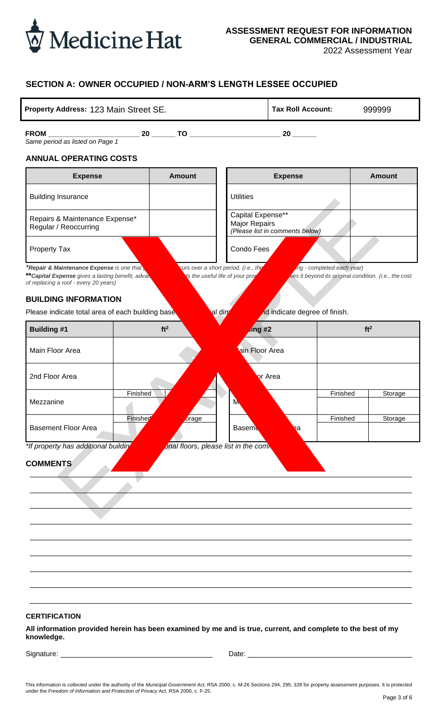

2022 Assessment Year

### **SECTION A: OWNER OCCUPIED / NON-ARM'S LENGTH LESSEE OCCUPIED**

| Property Address: 123 Main Street SE. | <b>Tax Roll Account:</b> | 999999 |
|---------------------------------------|--------------------------|--------|
|---------------------------------------|--------------------------|--------|

**FROM \_\_\_\_\_\_\_\_\_\_\_\_\_\_\_\_\_\_\_\_\_\_\_ 20 \_\_\_\_\_\_ TO \_\_\_\_\_\_\_\_\_\_\_\_\_\_\_\_\_\_\_\_\_\_\_ 20 \_\_\_\_\_\_** *Same period as listed on Page 1*

#### **ANNUAL OPERATING COSTS**

| <b>Expense</b>                                                                                                                          | <b>Amount</b>                        | <b>Expense</b>                                                                | <b>Amount</b>              |                                                       |  |
|-----------------------------------------------------------------------------------------------------------------------------------------|--------------------------------------|-------------------------------------------------------------------------------|----------------------------|-------------------------------------------------------|--|
| <b>Building Insurance</b>                                                                                                               |                                      | <b>Utilities</b>                                                              |                            |                                                       |  |
| Repairs & Maintenance Expense*<br>Regular / Reoccurring                                                                                 |                                      | Capital Expense**<br>Major Repairs<br>(Please list in comments below)         |                            |                                                       |  |
| <b>Property Tax</b>                                                                                                                     |                                      | Condo Fees                                                                    |                            |                                                       |  |
| *Repair & Maintenance Expense is one that<br>** Capital Expense gives a lasting benefit, adval<br>of replacing a roof - every 20 years) |                                      | curs over a short period. (i.e., the<br><b>S</b> the useful life of your prop | ing - completed each year) | ves it beyond its original condition. (i.e., the cost |  |
| <b>BUILDING INFORMATION</b>                                                                                                             |                                      |                                                                               |                            |                                                       |  |
| Please indicate total area of each building base                                                                                        |                                      | Id indicate degree of finish.<br>al dim                                       |                            |                                                       |  |
| <b>Building #1</b>                                                                                                                      | ft <sup>2</sup>                      | $\log$ #2                                                                     |                            | ft <sup>2</sup>                                       |  |
| Main Floor Area                                                                                                                         |                                      | ain Floor Area                                                                |                            |                                                       |  |
| 2nd Floor Area                                                                                                                          |                                      | or Area                                                                       |                            |                                                       |  |
| Finished<br>Mezzanine                                                                                                                   |                                      | M,                                                                            | Finished                   | Storage                                               |  |
| Finished<br><b>Basement Floor Area</b>                                                                                                  | orage                                | <b>Baseme</b><br>a                                                            | Finished                   | Storage                                               |  |
| *If property has additional building<br><b>COMMENTS</b>                                                                                 | onal floors, please list in the comb |                                                                               |                            |                                                       |  |
| <b>CERTIFICATION</b><br>All information provided herein has been examined by me and is true, current, and complete to the best of my    |                                      |                                                                               |                            |                                                       |  |

**by me and is true, current, and comp knowledge.**

Signature: <u>Date:</u> Date: Date: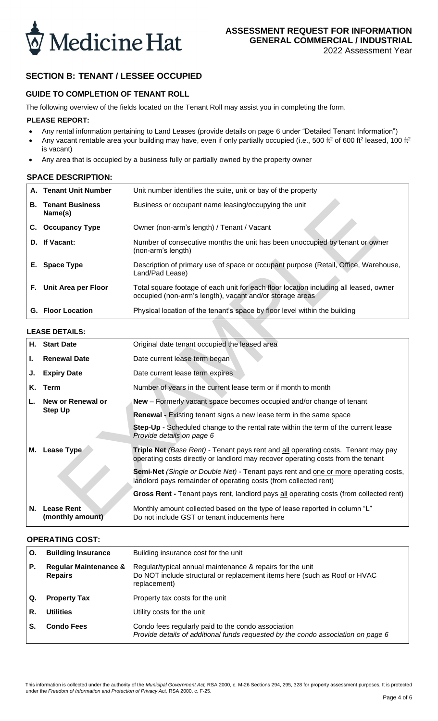

## **SECTION B: TENANT / LESSEE OCCUPIED**

### **GUIDE TO COMPLETION OF TENANT ROLL**

The following overview of the fields located on the Tenant Roll may assist you in completing the form.

#### **PLEASE REPORT:**

- Any rental information pertaining to Land Leases (provide details on page 6 under "Detailed Tenant Information")
- Any vacant rentable area your building may have, even if only partially occupied (i.e., 500 ft<sup>2</sup> of 600 ft<sup>2</sup> leased, 100 ft<sup>2</sup> is vacant)
- Any area that is occupied by a business fully or partially owned by the property owner

#### **SPACE DESCRIPTION:**

|    | A. Tenant Unit Number             | Unit number identifies the suite, unit or bay of the property                                                                                     |
|----|-----------------------------------|---------------------------------------------------------------------------------------------------------------------------------------------------|
| В. | <b>Tenant Business</b><br>Name(s) | Business or occupant name leasing/occupying the unit                                                                                              |
| C. | <b>Occupancy Type</b>             | Owner (non-arm's length) / Tenant / Vacant                                                                                                        |
|    | D. If Vacant:                     | Number of consecutive months the unit has been unoccupied by tenant or owner<br>(non-arm's length)                                                |
|    | E. Space Type                     | Description of primary use of space or occupant purpose (Retail, Office, Warehouse,<br>Land/Pad Lease)                                            |
|    | F. Unit Area per Floor            | Total square footage of each unit for each floor location including all leased, owner<br>occupied (non-arm's length), vacant and/or storage areas |
|    | <b>G.</b> Floor Location          | Physical location of the tenant's space by floor level within the building                                                                        |

### **LEASE DETAILS:**

| В.   | <b>Tenant Business</b><br>Name(s)     | Business or occupant name leasing/occupying the unit                                                                                                                  |
|------|---------------------------------------|-----------------------------------------------------------------------------------------------------------------------------------------------------------------------|
|      | C. Occupancy Type                     | Owner (non-arm's length) / Tenant / Vacant                                                                                                                            |
|      | D. If Vacant:                         | Number of consecutive months the unit has been unoccupied by tenant or owner<br>(non-arm's length)                                                                    |
|      | E. Space Type                         | Description of primary use of space or occupant purpose (Retail, Office, Warehouse,<br>Land/Pad Lease)                                                                |
|      | F. Unit Area per Floor                | Total square footage of each unit for each floor location including all leased, owner<br>occupied (non-arm's length), vacant and/or storage areas                     |
|      | <b>G.</b> Floor Location              | Physical location of the tenant's space by floor level within the building                                                                                            |
|      | <b>LEASE DETAILS:</b>                 |                                                                                                                                                                       |
|      | H. Start Date                         | Original date tenant occupied the leased area                                                                                                                         |
| ı.   | <b>Renewal Date</b>                   | Date current lease term began                                                                                                                                         |
| J.   | <b>Expiry Date</b>                    | Date current lease term expires                                                                                                                                       |
| Κ.   | Term                                  | Number of years in the current lease term or if month to month                                                                                                        |
|      | New or Renewal or                     | New - Formerly vacant space becomes occupied and/or change of tenant                                                                                                  |
|      | <b>Step Up</b>                        | <b>Renewal</b> - Existing tenant signs a new lease term in the same space                                                                                             |
|      |                                       | Step-Up - Scheduled change to the rental rate within the term of the current lease<br>Provide details on page 6                                                       |
|      | M. Lease Type                         | Triple Net (Base Rent) - Tenant pays rent and all operating costs. Tenant may pay<br>operating costs directly or landlord may recover operating costs from the tenant |
|      |                                       | <b>Semi-Net</b> (Single or Double Net) - Tenant pays rent and one or more operating costs,<br>landlord pays remainder of operating costs (from collected rent)        |
|      |                                       | Gross Rent - Tenant pays rent, landlord pays all operating costs (from collected rent)                                                                                |
| N. . | <b>Lease Rent</b><br>(monthly amount) | Monthly amount collected based on the type of lease reported in column "L"<br>Do not include GST or tenant inducements here                                           |

#### **OPERATING COST:**

| О. | <b>Building Insurance</b>                          | Building insurance cost for the unit                                                                                                                   |
|----|----------------------------------------------------|--------------------------------------------------------------------------------------------------------------------------------------------------------|
| Р. | <b>Regular Maintenance &amp;</b><br><b>Repairs</b> | Regular/typical annual maintenance & repairs for the unit<br>Do NOT include structural or replacement items here (such as Roof or HVAC<br>replacement) |
| Q. | <b>Property Tax</b>                                | Property tax costs for the unit                                                                                                                        |
| R. | <b>Utilities</b>                                   | Utility costs for the unit                                                                                                                             |
|    | <b>Condo Fees</b>                                  | Condo fees regularly paid to the condo association<br>Provide details of additional funds requested by the condo association on page 6                 |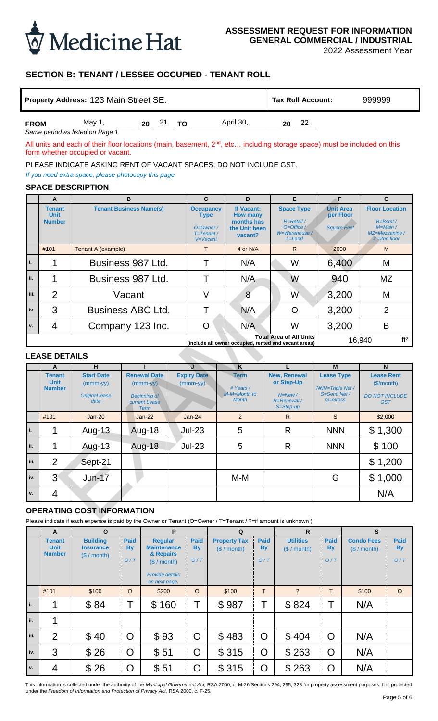

2022 Assessment Year

### **SECTION B: TENANT / LESSEE OCCUPIED - TENANT ROLL**

| Property Address: 123 Main Street SE. |       |    |  |    | Tax Roll Account: | 999999 |  |  |
|---------------------------------------|-------|----|--|----|-------------------|--------|--|--|
| <b>FROM</b>                           | May 1 | 20 |  | TΟ | April 30.         | 20     |  |  |

### **SPACE DESCRIPTION**

|               |                               | Property Address: 123 Main Street SE.                                                                                                                             |              |                                                     |   |                                  |  |                                                       |              | <b>Tax Roll Account:</b>               |                          |                                                        |    | 999999                              |                 |
|---------------|-------------------------------|-------------------------------------------------------------------------------------------------------------------------------------------------------------------|--------------|-----------------------------------------------------|---|----------------------------------|--|-------------------------------------------------------|--------------|----------------------------------------|--------------------------|--------------------------------------------------------|----|-------------------------------------|-----------------|
| <b>FROM</b>   |                               | May 1,                                                                                                                                                            |              | 20 21 TO                                            |   |                                  |  | April 30,                                             |              |                                        | $20 \t 22$               |                                                        |    |                                     |                 |
|               |                               | Same period as listed on Page 1                                                                                                                                   |              |                                                     |   |                                  |  |                                                       |              |                                        |                          |                                                        |    |                                     |                 |
|               |                               | All units and each of their floor locations (main, basement, $2^{nd}$ , etc including storage space) must be included on this<br>form whether occupied or vacant. |              |                                                     |   |                                  |  |                                                       |              |                                        |                          |                                                        |    |                                     |                 |
|               |                               | PLEASE INDICATE ASKING RENT OF VACANT SPACES. DO NOT INCLUDE GST.                                                                                                 |              |                                                     |   |                                  |  |                                                       |              |                                        |                          |                                                        |    |                                     |                 |
|               |                               | If you need extra space, please photocopy this page.                                                                                                              |              |                                                     |   |                                  |  |                                                       |              |                                        |                          |                                                        |    |                                     |                 |
|               |                               | <b>SPACE DESCRIPTION</b>                                                                                                                                          |              |                                                     |   |                                  |  |                                                       |              |                                        |                          |                                                        |    |                                     |                 |
|               | A                             |                                                                                                                                                                   | B            |                                                     |   | $\mathbf{C}$                     |  | D                                                     |              |                                        | E                        | F                                                      |    | G                                   |                 |
|               | <b>Tenant</b><br><b>Unit</b>  | <b>Tenant Business Name(s)</b>                                                                                                                                    |              |                                                     |   | <b>Occupancy</b><br><b>Type</b>  |  | If Vacant:<br><b>How many</b>                         |              |                                        | <b>Space Type</b>        | <b>Unit Area</b><br>per Floor                          |    | <b>Floor Location</b>               |                 |
|               | <b>Number</b>                 |                                                                                                                                                                   |              |                                                     |   | $O=O$ wner /                     |  | months has<br>the Unit been                           |              |                                        | R=Retail /<br>O=Office / | <b>Square Feet</b>                                     |    | $B = B$ smt /<br>M=Main /           |                 |
|               |                               |                                                                                                                                                                   |              |                                                     |   | $T = T$ enant /<br>V=Vacant      |  | vacant?                                               |              |                                        | W=Warehouse /<br>L=Land  |                                                        |    | MZ=Mezzanine /<br>$2 = 2nd$ floor   |                 |
|               | #101                          | Tenant A (example)                                                                                                                                                |              |                                                     |   | $\mathsf{T}$                     |  | 4 or N/A                                              |              |                                        | $\mathsf{R}$             | 2000                                                   |    | M                                   |                 |
| i.            | 1                             | Business 987 Ltd.                                                                                                                                                 |              |                                                     |   | Τ                                |  | N/A                                                   |              |                                        | W                        | 6,400                                                  |    | M                                   |                 |
| ii.           | 1                             | Business 987 Ltd.                                                                                                                                                 |              |                                                     |   | Т                                |  | N/A                                                   |              |                                        | W                        | 940                                                    |    | <b>MZ</b>                           |                 |
| iii.          | $\overline{2}$                |                                                                                                                                                                   | Vacant       |                                                     |   | $\vee$                           |  | 8                                                     |              |                                        | W                        | 3,200                                                  |    | M                                   |                 |
| iv.           | 3                             | <b>Business ABC Ltd.</b>                                                                                                                                          |              |                                                     |   | Τ                                |  | N/A                                                   |              |                                        | $\mathsf{O}$             | 3,200                                                  |    | $\overline{2}$                      |                 |
| ٧.            | 4                             | Company 123 Inc.                                                                                                                                                  |              |                                                     |   | $\mathsf{O}$                     |  | N/A                                                   |              |                                        | W                        | 3,200                                                  |    | B                                   |                 |
|               |                               |                                                                                                                                                                   |              |                                                     |   |                                  |  | (include all owner occupied, rented and vacant areas) |              | <b>Total Area of All Units</b>         |                          |                                                        |    | 16,940                              | ft <sup>2</sup> |
|               | <b>LEASE DETAILS</b>          |                                                                                                                                                                   |              |                                                     |   |                                  |  |                                                       |              |                                        |                          |                                                        |    |                                     |                 |
|               | A                             | н                                                                                                                                                                 |              |                                                     |   | J                                |  | K                                                     |              | L                                      |                          | M                                                      |    | N                                   |                 |
|               | <b>Tenant</b><br><b>Unit</b>  | <b>Start Date</b><br>$(mmm-yy)$                                                                                                                                   |              | <b>Renewal Date</b><br>$(mmm$ -yy $)$               |   | <b>Expiry Date</b><br>$(mmm-yy)$ |  | <b>Term</b><br># Years /                              |              | New, Renewal<br>or Step-Up             |                          | <b>Lease Type</b>                                      |    | <b>Lease Rent</b><br>(S/month)      |                 |
|               | <b>Number</b>                 | <b>Original lease</b><br>date                                                                                                                                     |              | <b>Beginning of</b><br>current Lease<br><b>Term</b> |   | $Jan-24$                         |  | M-M=Month to<br><b>Month</b>                          |              | $N = New/$<br>R=Renewal /<br>S=Step-up |                          | <b>NNN=Triple Net /</b><br>S=Semi Net /<br>$G = Gross$ |    | <b>DO NOT INCLUDE</b><br><b>GST</b> |                 |
|               | #101                          | <b>Jan-20</b>                                                                                                                                                     |              | $Jan-22$                                            |   |                                  |  | $\mathcal{P}$                                         |              |                                        | R                        |                                                        | S. |                                     | \$2,000         |
| $\mathbf{i}.$ | 1                             | Aug-13                                                                                                                                                            |              | <b>Aug-18</b>                                       |   | $Jul-23$                         |  | 5                                                     |              | R                                      |                          | <b>NNN</b>                                             |    | \$1,300                             |                 |
| ii.           | 1                             | Aug-13                                                                                                                                                            |              | <b>Aug-18</b>                                       |   | $Jul-23$                         |  | 5                                                     |              | R                                      |                          | <b>NNN</b>                                             |    | \$100                               |                 |
| iii.          | $\overline{2}$                | Sept-21                                                                                                                                                           |              |                                                     |   |                                  |  |                                                       |              |                                        |                          |                                                        |    |                                     | \$1,200         |
| iv.           | 3 <sup>°</sup>                | $Jun-17$                                                                                                                                                          |              |                                                     |   |                                  |  | M-M                                                   |              |                                        |                          | G                                                      |    | \$1,000                             |                 |
| v.            | 4                             |                                                                                                                                                                   |              |                                                     |   |                                  |  |                                                       |              |                                        |                          |                                                        |    | N/A                                 |                 |
|               |                               | <b>OPERATING COST INFORMATION</b>                                                                                                                                 |              |                                                     |   |                                  |  |                                                       |              |                                        |                          |                                                        |    |                                     |                 |
|               |                               | Please indicate if each expense is paid by the Owner or Tenant (O=Owner / T=Tenant / ?=if amount is unknown)                                                      |              |                                                     |   |                                  |  |                                                       |              |                                        |                          |                                                        |    |                                     |                 |
|               | $\mathbf{A}$<br><b>Tenant</b> | $\mathbf{o}$<br><b>Building</b>                                                                                                                                   | <b>Paid</b>  | <b>Regular</b>                                      | P | <b>Paid</b>                      |  | $\mathbf Q$<br><b>Property Tax</b>                    | <b>Paid</b>  |                                        | R<br><b>Utilities</b>    | <b>Paid</b>                                            |    | $\mathbf{s}$<br><b>Condo Fees</b>   | <b>Paid</b>     |
|               | <b>Unit</b><br><b>Number</b>  | <b>Insurance</b>                                                                                                                                                  | <b>By</b>    | <b>Maintenance</b><br>& Repairs                     |   | <b>By</b>                        |  | (\$ / month)                                          | <b>By</b>    |                                        | (\$ / month)             | <b>By</b>                                              |    | (\$ / month)                        | <b>By</b>       |
|               |                               | (\$ / month)                                                                                                                                                      | O/T          | (\$ / month)                                        |   | O/T                              |  |                                                       | O/T          |                                        |                          | O/T                                                    |    |                                     | O/T             |
|               |                               |                                                                                                                                                                   |              | <b>Provide details</b><br>on next page.             |   |                                  |  |                                                       |              |                                        |                          |                                                        |    |                                     |                 |
|               | #101                          | \$100                                                                                                                                                             | $\circ$      | \$200                                               |   | $\circ$                          |  | \$100                                                 | $\mathsf T$  |                                        | $\ddot{?}$               | T                                                      |    | \$100                               | $\circ$         |
| i.            | 1                             | \$84                                                                                                                                                              | Τ            | \$160                                               |   | Τ                                |  | \$987                                                 | Τ            |                                        | \$824                    | Τ                                                      |    | N/A                                 |                 |
| ii.           | 1                             |                                                                                                                                                                   |              |                                                     |   |                                  |  |                                                       |              |                                        |                          |                                                        |    |                                     |                 |
| iii.          | $\overline{2}$                | \$40                                                                                                                                                              | O            | \$93                                                |   | O                                |  | \$483                                                 | O            |                                        | \$404                    | O                                                      |    | N/A                                 |                 |
| iv.           | 3                             | \$26                                                                                                                                                              | O            | \$51                                                |   | O                                |  | \$315                                                 | O            |                                        | \$263                    | O                                                      |    | N/A                                 |                 |
| ٧.            | 4                             | \$26                                                                                                                                                              | $\mathsf{O}$ | \$51                                                |   | $\mathsf{O}$                     |  | \$315                                                 | $\mathsf{O}$ |                                        | \$263                    | $\overline{O}$                                         |    | N/A                                 |                 |

#### **LEASE DETAILS**

|             | A                                             | н                                                                |                                                                                          |                                  | K                                                        |                                                                    | м                                                                           | N                                                                     |
|-------------|-----------------------------------------------|------------------------------------------------------------------|------------------------------------------------------------------------------------------|----------------------------------|----------------------------------------------------------|--------------------------------------------------------------------|-----------------------------------------------------------------------------|-----------------------------------------------------------------------|
|             | <b>Tenant</b><br><b>Unit</b><br><b>Number</b> | <b>Start Date</b><br>$(mmm-yy)$<br><b>Original lease</b><br>date | <b>Renewal Date</b><br>$(mmm-yy)$<br><b>Beginning of</b><br><b>current Lease</b><br>Term | <b>Expiry Date</b><br>$(mmm-yy)$ | <b>Term</b><br># Years /<br>M-M=Month to<br><b>Month</b> | New, Renewal<br>or Step-Up<br>$N=New/$<br>R=Renewal /<br>S=Step-up | <b>Lease Type</b><br><b>NNN=Triple Net /</b><br>S=Semi Net /<br>$G = Gross$ | <b>Lease Rent</b><br>(S/month)<br><b>DO NOT INCLUDE</b><br><b>GST</b> |
|             | #101                                          | $Jan-20$                                                         | $Jan-22$                                                                                 | $Jan-24$                         | $\overline{2}$                                           | $\mathsf{R}$                                                       | S                                                                           | \$2,000                                                               |
| ۱.          |                                               | Aug-13                                                           | Aug-18                                                                                   | $Jul-23$                         | 5                                                        | $\mathsf{R}$                                                       | <b>NNN</b>                                                                  | \$1,300                                                               |
| ii.         | ኅ                                             | Aug-13                                                           | Aug-18                                                                                   | $Jul-23$                         | 5                                                        | $\mathsf{R}$                                                       | <b>NNN</b>                                                                  | \$100                                                                 |
| iii.        | 2                                             | Sept-21                                                          |                                                                                          |                                  |                                                          |                                                                    |                                                                             | \$1,200                                                               |
| iv.         | $3^{\circ}$                                   | $Jun-17$                                                         |                                                                                          |                                  | $M-M$                                                    |                                                                    | G                                                                           | \$1,000                                                               |
| $V_{\star}$ | 4                                             |                                                                  |                                                                                          |                                  |                                                          |                                                                    |                                                                             | N/A                                                                   |

### **OPERATING COST INFORMATION**

|      | A                                      | $\mathbf{o}$                                       |                                 | P                                                                                                    |                          | Q                                   |                                 | $\mathsf{R}$                    |                                 | $\mathbf{s}$                    |                                 |
|------|----------------------------------------|----------------------------------------------------|---------------------------------|------------------------------------------------------------------------------------------------------|--------------------------|-------------------------------------|---------------------------------|---------------------------------|---------------------------------|---------------------------------|---------------------------------|
|      | Tenant<br><b>Unit</b><br><b>Number</b> | <b>Building</b><br><b>Insurance</b><br>(S / month) | <b>Paid</b><br><b>By</b><br>O/T | <b>Regular</b><br><b>Maintenance</b><br>& Repairs<br>(S / month)<br>Provide details<br>on next page. | <b>Paid</b><br>By<br>O/T | <b>Property Tax</b><br>(\$ / month) | <b>Paid</b><br><b>By</b><br>O/T | <b>Utilities</b><br>(S / month) | <b>Paid</b><br><b>By</b><br>O/T | <b>Condo Fees</b><br>(\$/month) | <b>Paid</b><br><b>By</b><br>O/T |
|      | #101                                   | \$100                                              | $\circ$                         | \$200                                                                                                | $\circ$                  | \$100                               | T                               | $\overline{?}$                  | T.                              | \$100                           | $\circ$                         |
| i.   | 1                                      | \$84                                               | T                               | 160<br>$\mathbb S$                                                                                   |                          | \$987                               |                                 | \$824                           |                                 | N/A                             |                                 |
| ii.  | 1                                      |                                                    |                                 |                                                                                                      |                          |                                     |                                 |                                 |                                 |                                 |                                 |
| iii. | 2                                      | \$40                                               | $\overline{O}$                  | \$93                                                                                                 | O                        | \$483                               | $\overline{O}$                  | \$404                           | $\overline{O}$                  | N/A                             |                                 |
| iv.  | 3                                      | \$26                                               | O                               | \$51                                                                                                 | O                        | \$315                               | O                               | \$263                           | O                               | N/A                             |                                 |
| v.   | 4                                      | \$26                                               | O                               | \$51                                                                                                 | O                        | \$315                               | O                               | \$263                           | O                               | N/A                             |                                 |